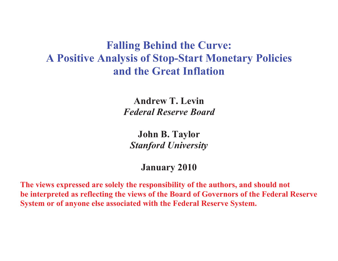# **Falling Behind the Curve: A Positive Analysis of Stop-Start Monetary Policies and the Great Inflation**

**Andrew T. Levin**  *Federal Reserve Board* 

**John B. Taylor**  *Stanford University* 

**January 2010** 

**The views expressed are solely the responsibility of the authors, and should not be interpreted as reflecting the views of the Board of Governors of the Federal Reserve System or of anyone else associated with the Federal Reserve System.**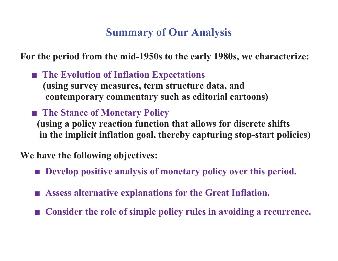# **Summary of Our Analysis**

**For the period from the mid-1950s to the early 1980s, we characterize:** 

■ The Evolution of Inflation Expectations  **(using survey measures, term structure data, and contemporary commentary such as editorial cartoons)**

■ The Stance of Monetary Policy

 **(using a policy reaction function that allows for discrete shifts in the implicit inflation goal, thereby capturing stop-start policies)** 

**We have the following objectives:** 

- **- Develop positive analysis of monetary policy over this period.**
- **- Assess alternative explanations for the Great Inflation.**
- **- Consider the role of simple policy rules in avoiding a recurrence.**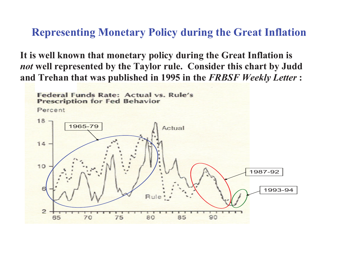### **Representing Monetary Policy during the Great Inflation**

**It is well known that monetary policy during the Great Inflation is**  *not* **well represented by the Taylor rule. Consider this chart by Judd and Trehan that was published in 1995 in the** *FRBSF Weekly Letter* **:** 

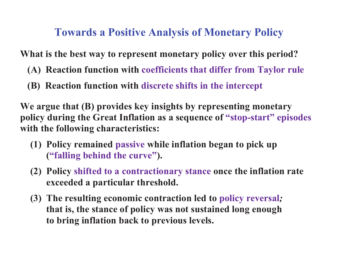# **Towards a Positive Analysis of Monetary Policy**

**What is the best way to represent monetary policy over this period?** 

- **(A) Reaction function with coefficients that differ from Taylor rule**
- **(B) Reaction function with discrete shifts in the intercept**

**We argue that (B) provides key insights by representing monetary policy during the Great Inflation as a sequence of "stop-start" episodes with the following characteristics:** 

- **(1) Policy remained passive while inflation began to pick up ("falling behind the curve").**
- **(2) Policy shifted to a contractionary stance once the inflation rate exceeded a particular threshold.**
- **(3) The resulting economic contraction led to policy reversal** *;* **that is, the stance of policy was not sustained long enough to bring inflation back to previous levels.**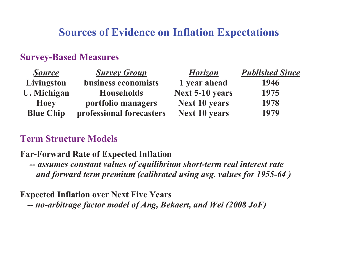# **Sources of Evidence on Inflation Expectations**

#### **Survey-Based Measures**

| <b>Source</b>      | <b>Survey Group</b>      | <b>Horizon</b>         | <b>Published Since</b> |
|--------------------|--------------------------|------------------------|------------------------|
| Livingston         | business economists      | 1 year ahead           | 1946                   |
| <b>U.</b> Michigan | <b>Households</b>        | <b>Next 5-10 years</b> | 1975                   |
| <b>Hoey</b>        | portfolio managers       | <b>Next 10 years</b>   | 1978                   |
| <b>Blue Chip</b>   | professional forecasters | <b>Next 10 years</b>   | 1979                   |

#### **Term Structure Models**

#### **Far-Forward Rate of Expected Inflation**

*-- assumes constant values of equilibrium short-term real interest rate and forward term premium (calibrated using avg. values for 1955-64 )* 

#### **Expected Inflation over Next Five Years**

*-- no-arbitrage factor model of Ang, Bekaert, and Wei (2008 JoF)*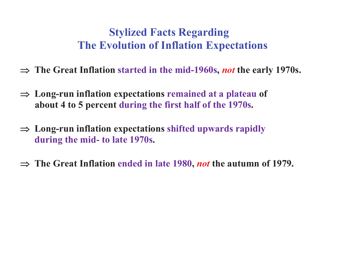# **Stylized Facts Regarding The Evolution of Inflation Expectations**

- $\Rightarrow$  The Great Inflation started in the mid-1960s, *not* the early 1970s.
- $\Rightarrow$  Long-run inflation expectations remained at a plateau of  **about 4 to 5 percent during the first half of the 1970s.**
- $\Rightarrow$  Long-run inflation expectations shifted upwards rapidly **during the mid- to late 1970s.**
- $\Rightarrow$  The Great Inflation ended in late 1980, *not* the autumn of 1979.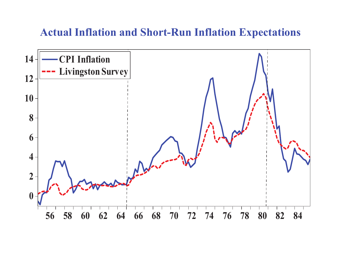## **Actual Inflation and Short-Run Inflation Expectations**

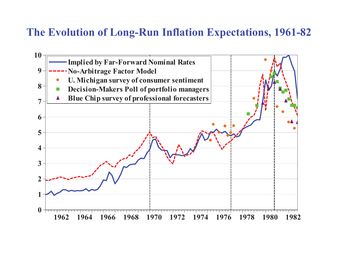## **The Evolution of Long-Run Inflation Expectations, 1961-82**

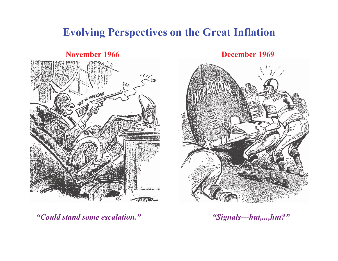## **Evolving Perspectives on the Great Inflation**

#### **November 1966**



**December 1969**



*"Could stand some escalation." "Signals—hut,...,hut?"*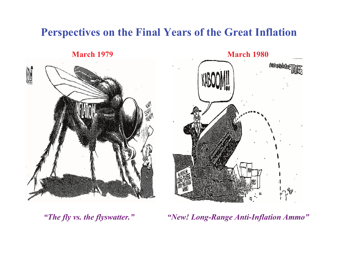# **Perspectives on the Final Years of the Great Inflation**

**March 1979**



 **March 1980 OROTHERAFIKATION** 

 *"The fly vs. the flyswatter." "New! Long-Range Anti-Inflation Ammo"*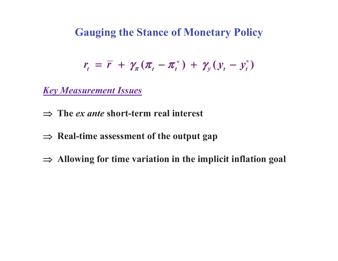**Gauging the Stance of Monetary Policy** 

$$
r_t = \overline{r} + \gamma_\pi (\pi_t - \pi_t^*) + \gamma_y (y_t - y_t^*)
$$

*Key Measurement Issues*

- $\Rightarrow$  **The** *ex ante* **short-term real interest**
- $\Rightarrow$  Real-time assessment of the output gap
- - **Allowing for time variation in the implicit inflation goal**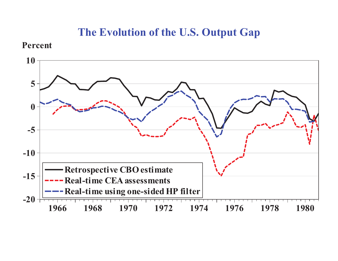## **The Evolution of the U.S. Output Gap**

#### **Percent**

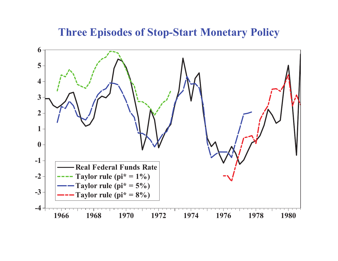**Three Episodes of Stop-Start Monetary Policy**

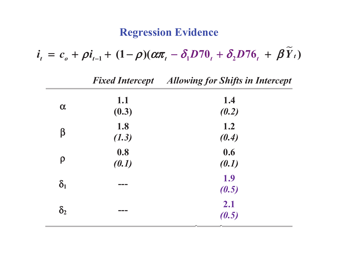# **Regression Evidence**

**-**

 $i_{t} = c_{0} + \rho i_{t-1} + (1 - \rho)(\alpha \pi_{t} - \delta_{1} D 70_{t} + \delta_{2} D 76_{t} + \beta Y_{t})$ 

|            |                   | <b>Fixed Intercept</b> Allowing for Shifts in Intercept |  |
|------------|-------------------|---------------------------------------------------------|--|
| $\alpha$   | 1.1<br>(0.3)      | 1.4<br>(0.2)                                            |  |
| β          | 1.8<br>(1.3)      | 1.2<br>(0.4)                                            |  |
| $\rho$     | 0.8<br>(0.1)      | 0.6<br>(0.1)                                            |  |
| $\delta_1$ |                   | 1.9<br>(0.5)                                            |  |
| $\delta_2$ | <u> Filmen ve</u> | 2.1<br>(0.5)                                            |  |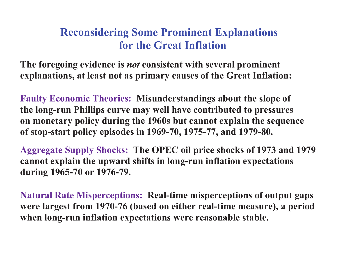# **Reconsidering Some Prominent Explanations for the Great Inflation**

**The foregoing evidence is** *not* **consistent with several prominent explanations, at least not as primary causes of the Great Inflation:** 

**Faulty Economic Theories: Misunderstandings about the slope of the long-run Phillips curve may well have contributed to pressures on monetary policy during the 1960s but cannot explain the sequence of stop-start policy episodes in 1969-70, 1975-77, and 1979-80.** 

**Aggregate Supply Shocks: The OPEC oil price shocks of 1973 and 1979 cannot explain the upward shifts in long-run inflation expectations during 1965-70 or 1976-79.** 

**Natural Rate Misperceptions: Real-time misperceptions of output gaps were largest from 1970-76 (based on either real-time measure), a period when long-run inflation expectations were reasonable stable.**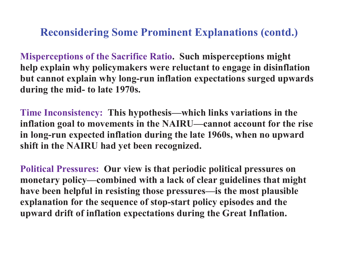**Reconsidering Some Prominent Explanations (contd.)** 

**Misperceptions of the Sacrifice Ratio. Such misperceptions might help explain why policymakers were reluctant to engage in disinflation but cannot explain why long-run inflation expectations surged upwards during the mid- to late 1970s.** 

**Time Inconsistency: This hypothesis—which links variations in the inflation goal to movements in the NAIRU—cannot account for the rise in long-run expected inflation during the late 1960s, when no upward shift in the NAIRU had yet been recognized.** 

**Political Pressures: Our view is that periodic political pressures on monetary policy—combined with a lack of clear guidelines that might have been helpful in resisting those pressures—is the most plausible explanation for the sequence of stop-start policy episodes and the upward drift of inflation expectations during the Great Inflation.**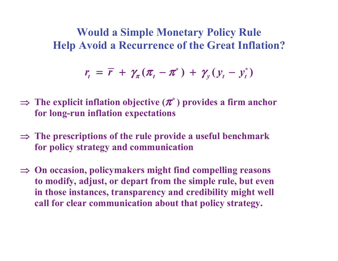**Would a Simple Monetary Policy Rule Help Avoid a Recurrence of the Great Inflation?** 

$$
r_t = \overline{r} + \gamma_\pi (\pi_t - \pi^*) + \gamma_y (y_t - y_t^*)
$$

- - **The explicit inflation objective (**π**\* ) provides a firm anchor for long-run inflation expectations**
- - **The prescriptions of the rule provide a useful benchmark for policy strategy and communication**
- - **On occasion, policymakers might find compelling reasons to modify, adjust, or depart from the simple rule, but even in those instances, transparency and credibility might well call for clear communication about that policy strategy.**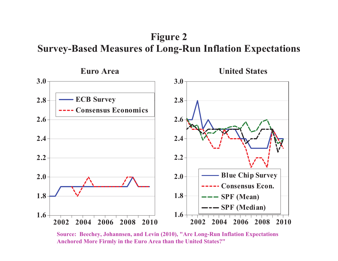**Figure 2 Survey-Based Measures of Long-Run Inflation Expectations** 



**Source: Beechey, Johannsen, and Levin (2010), "Are Long-Run Inflation Expectations Anchored More Firmly in the Euro Area than the United States?"**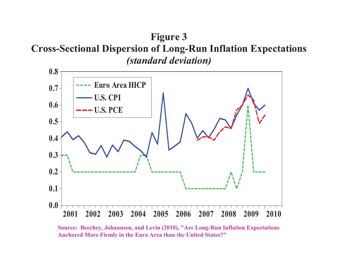## **Figure 3 Cross-Sectional Dispersion of Long-Run Inflation Expectations**  *(standard deviation)*



**Source: Beechey, Johannsen, and Levin (2010), "Are Long-Run Inflation Expectations Anchored More Firmly in the Euro Area than the United States?"**